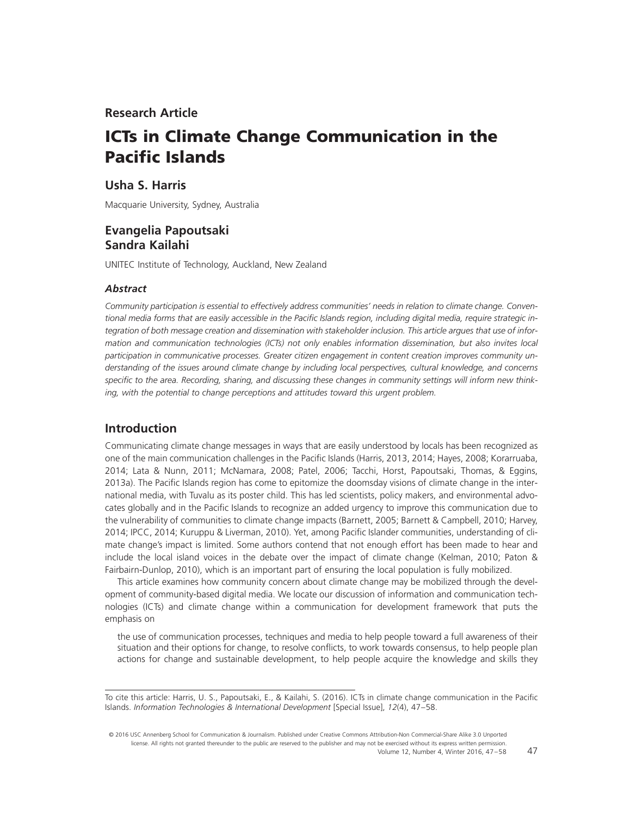# **Research Article**

# **ICTs in Climate Change Communication in the Pacific Islands**

## **Usha S. Harris**

Macquarie University, Sydney, Australia

# **Evangelia Papoutsaki Sandra Kailahi**

UNITEC Institute of Technology, Auckland, New Zealand

### *Abstract*

*Community participation is essential to effectively address communities' needs in relation to climate change. Conven*tional media forms that are easily accessible in the Pacific Islands region, including digital media, require strategic in*tegration of both message creation and dissemination with stakeholder inclusion. This article argues that use of information and communication technologies (ICTs) not only enables information dissemination, but also invites local participation in communicative processes. Greater citizen engagement in content creation improves community understanding of the issues around climate change by including local perspectives, cultural knowledge, and concerns* specific to the area. Recording, sharing, and discussing these changes in community settings will inform new think*ing, with the potential to change perceptions and attitudes toward this urgent problem.*

### **Introduction**

Communicating climate change messages in ways that are easily understood by locals has been recognized as one of the main communication challenges in the Pacific Islands (Harris, 2013, 2014; Hayes, 2008; Korarruaba, 2014; Lata & Nunn, 2011; McNamara, 2008; Patel, 2006; Tacchi, Horst, Papoutsaki, Thomas, & Eggins, 2013a). The Pacific Islands region has come to epitomize the doomsday visions of climate change in the international media, with Tuvalu as its poster child. This has led scientists, policy makers, and environmental advocates globally and in the Pacific Islands to recognize an added urgency to improve this communication due to the vulnerability of communities to climate change impacts (Barnett, 2005; Barnett & Campbell, 2010; Harvey, 2014; IPCC, 2014; Kuruppu & Liverman, 2010). Yet, among Pacific Islander communities, understanding of climate change's impact is limited. Some authors contend that not enough effort has been made to hear and include the local island voices in the debate over the impact of climate change (Kelman, 2010; Paton & Fairbairn-Dunlop, 2010), which is an important part of ensuring the local population is fully mobilized.

This article examines how community concern about climate change may be mobilized through the development of community-based digital media. We locate our discussion of information and communication technologies (ICTs) and climate change within a communication for development framework that puts the emphasis on

the use of communication processes, techniques and media to help people toward a full awareness of their situation and their options for change, to resolve conflicts, to work towards consensus, to help people plan actions for change and sustainable development, to help people acquire the knowledge and skills they

47

To cite this article: Harris, U. S., Papoutsaki, E., & Kailahi, S. (2016). ICTs in climate change communication in the Pacific Islands. *Information Technologies & International Development* [Special Issue], *12*(4), 47–58.

<sup>© 2016</sup> USC Annenberg School for Communication & Journalism. Published under Creative Commons Attribution-Non Commercial-Share Alike 3.0 Unported license. All rights not granted thereunder to the public are reserved to the publisher and may not be exercised without its express written permission. Volume 12, Number 4, Winter 2016, 47–58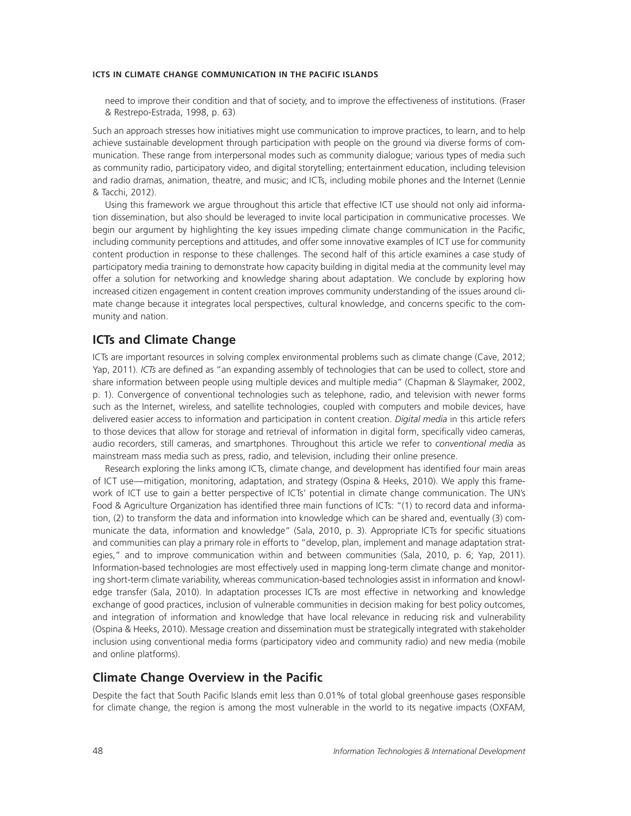need to improve their condition and that of society, and to improve the effectiveness of institutions. (Fraser & Restrepo-Estrada, 1998, p. 63)

Such an approach stresses how initiatives might use communication to improve practices, to learn, and to help achieve sustainable development through participation with people on the ground via diverse forms of communication. These range from interpersonal modes such as community dialogue; various types of media such as community radio, participatory video, and digital storytelling; entertainment education, including television and radio dramas, animation, theatre, and music; and ICTs, including mobile phones and the Internet (Lennie & Tacchi, 2012).

Using this framework we argue throughout this article that effective ICT use should not only aid information dissemination, but also should be leveraged to invite local participation in communicative processes. We begin our argument by highlighting the key issues impeding climate change communication in the Pacific, including community perceptions and attitudes, and offer some innovative examples of ICT use for community content production in response to these challenges. The second half of this article examines a case study of participatory media training to demonstrate how capacity building in digital media at the community level may offer a solution for networking and knowledge sharing about adaptation. We conclude by exploring how increased citizen engagement in content creation improves community understanding of the issues around climate change because it integrates local perspectives, cultural knowledge, and concerns specific to the community and nation.

# **ICTs and Climate Change**

ICTs are important resources in solving complex environmental problems such as climate change (Cave, 2012; Yap, 2011). *ICTs* are defined as "an expanding assembly of technologies that can be used to collect, store and share information between people using multiple devices and multiple media" (Chapman & Slaymaker, 2002, p. 1). Convergence of conventional technologies such as telephone, radio, and television with newer forms such as the Internet, wireless, and satellite technologies, coupled with computers and mobile devices, have delivered easier access to information and participation in content creation. *Digital media* in this article refers to those devices that allow for storage and retrieval of information in digital form, specifically video cameras, audio recorders, still cameras, and smartphones. Throughout this article we refer to *conventional media* as mainstream mass media such as press, radio, and television, including their online presence.

Research exploring the links among ICTs, climate change, and development has identified four main areas of ICT use—mitigation, monitoring, adaptation, and strategy (Ospina & Heeks, 2010). We apply this framework of ICT use to gain a better perspective of ICTs' potential in climate change communication. The UN's Food & Agriculture Organization has identified three main functions of ICTs: "(1) to record data and information, (2) to transform the data and information into knowledge which can be shared and, eventually (3) communicate the data, information and knowledge" (Sala, 2010, p. 3). Appropriate ICTs for specific situations and communities can play a primary role in efforts to "develop, plan, implement and manage adaptation strategies," and to improve communication within and between communities (Sala, 2010, p. 6; Yap, 2011). Information-based technologies are most effectively used in mapping long-term climate change and monitoring short-term climate variability, whereas communication-based technologies assist in information and knowledge transfer (Sala, 2010). In adaptation processes ICTs are most effective in networking and knowledge exchange of good practices, inclusion of vulnerable communities in decision making for best policy outcomes, and integration of information and knowledge that have local relevance in reducing risk and vulnerability (Ospina & Heeks, 2010). Message creation and dissemination must be strategically integrated with stakeholder inclusion using conventional media forms (participatory video and community radio) and new media (mobile and online platforms).

### **Climate Change Overview in the Pacific**

Despite the fact that South Pacific Islands emit less than 0.01% of total global greenhouse gases responsible for climate change, the region is among the most vulnerable in the world to its negative impacts (OXFAM,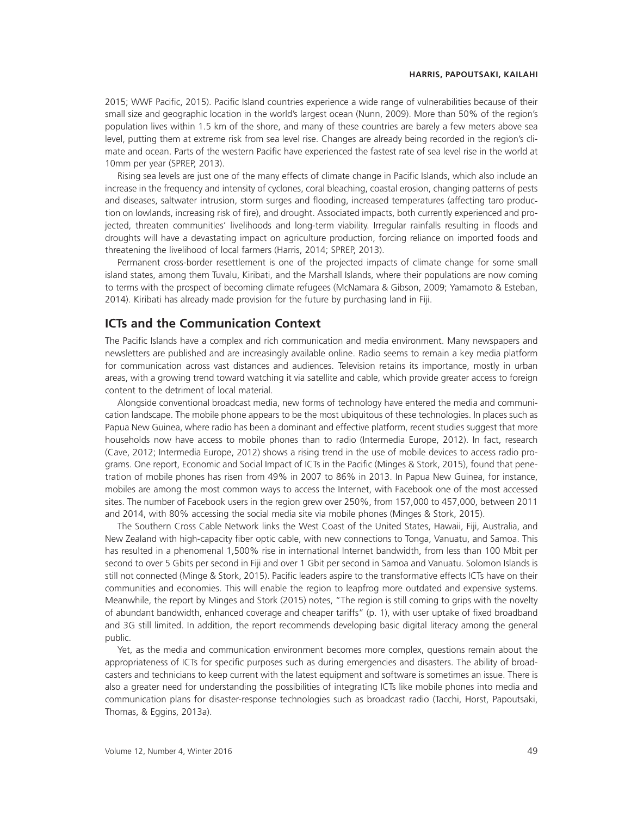2015; WWF Pacific, 2015). Pacific Island countries experience a wide range of vulnerabilities because of their small size and geographic location in the world's largest ocean (Nunn, 2009). More than 50% of the region's population lives within 1.5 km of the shore, and many of these countries are barely a few meters above sea level, putting them at extreme risk from sea level rise. Changes are already being recorded in the region's climate and ocean. Parts of the western Pacific have experienced the fastest rate of sea level rise in the world at 10mm per year (SPREP, 2013).

Rising sea levels are just one of the many effects of climate change in Pacific Islands, which also include an increase in the frequency and intensity of cyclones, coral bleaching, coastal erosion, changing patterns of pests and diseases, saltwater intrusion, storm surges and flooding, increased temperatures (affecting taro production on lowlands, increasing risk of fire), and drought. Associated impacts, both currently experienced and projected, threaten communities' livelihoods and long-term viability. Irregular rainfalls resulting in floods and droughts will have a devastating impact on agriculture production, forcing reliance on imported foods and threatening the livelihood of local farmers (Harris, 2014; SPREP, 2013).

Permanent cross-border resettlement is one of the projected impacts of climate change for some small island states, among them Tuvalu, Kiribati, and the Marshall Islands, where their populations are now coming to terms with the prospect of becoming climate refugees (McNamara & Gibson, 2009; Yamamoto & Esteban, 2014). Kiribati has already made provision for the future by purchasing land in Fiji.

# **ICTs and the Communication Context**

The Pacific Islands have a complex and rich communication and media environment. Many newspapers and newsletters are published and are increasingly available online. Radio seems to remain a key media platform for communication across vast distances and audiences. Television retains its importance, mostly in urban areas, with a growing trend toward watching it via satellite and cable, which provide greater access to foreign content to the detriment of local material.

Alongside conventional broadcast media, new forms of technology have entered the media and communication landscape. The mobile phone appears to be the most ubiquitous of these technologies. In places such as Papua New Guinea, where radio has been a dominant and effective platform, recent studies suggest that more households now have access to mobile phones than to radio (Intermedia Europe, 2012). In fact, research (Cave, 2012; Intermedia Europe, 2012) shows a rising trend in the use of mobile devices to access radio programs. One report, Economic and Social Impact of ICTs in the Pacific (Minges & Stork, 2015), found that penetration of mobile phones has risen from 49% in 2007 to 86% in 2013. In Papua New Guinea, for instance, mobiles are among the most common ways to access the Internet, with Facebook one of the most accessed sites. The number of Facebook users in the region grew over 250%, from 157,000 to 457,000, between 2011 and 2014, with 80% accessing the social media site via mobile phones (Minges & Stork, 2015).

The Southern Cross Cable Network links the West Coast of the United States, Hawaii, Fiji, Australia, and New Zealand with high-capacity fiber optic cable, with new connections to Tonga, Vanuatu, and Samoa. This has resulted in a phenomenal 1,500% rise in international Internet bandwidth, from less than 100 Mbit per second to over 5 Gbits per second in Fiji and over 1 Gbit per second in Samoa and Vanuatu. Solomon Islands is still not connected (Minge & Stork, 2015). Pacific leaders aspire to the transformative effects ICTs have on their communities and economies. This will enable the region to leapfrog more outdated and expensive systems. Meanwhile, the report by Minges and Stork (2015) notes, "The region is still coming to grips with the novelty of abundant bandwidth, enhanced coverage and cheaper tariffs" (p. 1), with user uptake of fixed broadband and 3G still limited. In addition, the report recommends developing basic digital literacy among the general public.

Yet, as the media and communication environment becomes more complex, questions remain about the appropriateness of ICTs for specific purposes such as during emergencies and disasters. The ability of broadcasters and technicians to keep current with the latest equipment and software is sometimes an issue. There is also a greater need for understanding the possibilities of integrating ICTs like mobile phones into media and communication plans for disaster-response technologies such as broadcast radio (Tacchi, Horst, Papoutsaki, Thomas, & Eggins, 2013a).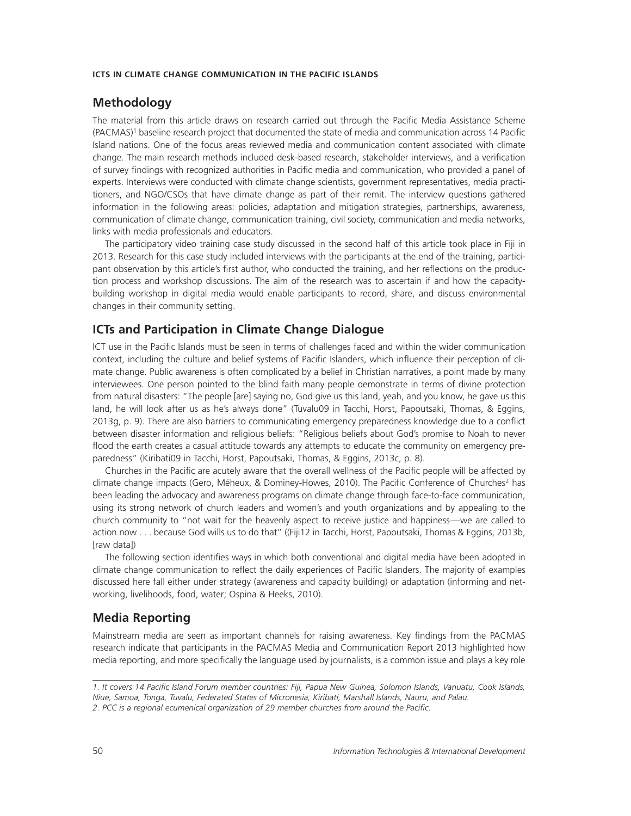# **Methodology**

The material from this article draws on research carried out through the Pacific Media Assistance Scheme (PACMAS)<sup>1</sup> baseline research project that documented the state of media and communication across 14 Pacific Island nations. One of the focus areas reviewed media and communication content associated with climate change. The main research methods included desk-based research, stakeholder interviews, and a verification of survey findings with recognized authorities in Pacific media and communication, who provided a panel of experts. Interviews were conducted with climate change scientists, government representatives, media practitioners, and NGO/CSOs that have climate change as part of their remit. The interview questions gathered information in the following areas: policies, adaptation and mitigation strategies, partnerships, awareness, communication of climate change, communication training, civil society, communication and media networks, links with media professionals and educators.

The participatory video training case study discussed in the second half of this article took place in Fiji in 2013. Research for this case study included interviews with the participants at the end of the training, participant observation by this article's first author, who conducted the training, and her reflections on the production process and workshop discussions. The aim of the research was to ascertain if and how the capacitybuilding workshop in digital media would enable participants to record, share, and discuss environmental changes in their community setting.

# **ICTs and Participation in Climate Change Dialogue**

ICT use in the Pacific Islands must be seen in terms of challenges faced and within the wider communication context, including the culture and belief systems of Pacific Islanders, which influence their perception of climate change. Public awareness is often complicated by a belief in Christian narratives, a point made by many interviewees. One person pointed to the blind faith many people demonstrate in terms of divine protection from natural disasters: "The people [are] saying no, God give us this land, yeah, and you know, he gave us this land, he will look after us as he's always done" (Tuvalu09 in Tacchi, Horst, Papoutsaki, Thomas, & Eggins, 2013g, p. 9). There are also barriers to communicating emergency preparedness knowledge due to a conflict between disaster information and religious beliefs: "Religious beliefs about God's promise to Noah to never flood the earth creates a casual attitude towards any attempts to educate the community on emergency preparedness" (Kiribati09 in Tacchi, Horst, Papoutsaki, Thomas, & Eggins, 2013c, p. 8).

Churches in the Pacific are acutely aware that the overall wellness of the Pacific people will be affected by climate change impacts (Gero, Méheux, & Dominey-Howes, 2010). The Pacific Conference of Churches<sup>2</sup> has been leading the advocacy and awareness programs on climate change through face-to-face communication, using its strong network of church leaders and women's and youth organizations and by appealing to the church community to "not wait for the heavenly aspect to receive justice and happiness—we are called to action now . . . because God wills us to do that" ((Fiji12 in Tacchi, Horst, Papoutsaki, Thomas & Eggins, 2013b, [raw data])

The following section identifies ways in which both conventional and digital media have been adopted in climate change communication to reflect the daily experiences of Pacific Islanders. The majority of examples discussed here fall either under strategy (awareness and capacity building) or adaptation (informing and networking, livelihoods, food, water; Ospina & Heeks, 2010).

# **Media Reporting**

Mainstream media are seen as important channels for raising awareness. Key findings from the PACMAS research indicate that participants in the PACMAS Media and Communication Report 2013 highlighted how media reporting, and more specifically the language used by journalists, is a common issue and plays a key role

*<sup>1.</sup> It covers 14 Paciªc Island Forum member countries: Fiji, Papua New Guinea, Solomon Islands, Vanuatu, Cook Islands, Niue, Samoa, Tonga, Tuvalu, Federated States of Micronesia, Kiribati, Marshall Islands, Nauru, and Palau.* 2. PCC is a regional ecumenical organization of 29 member churches from around the Pacific.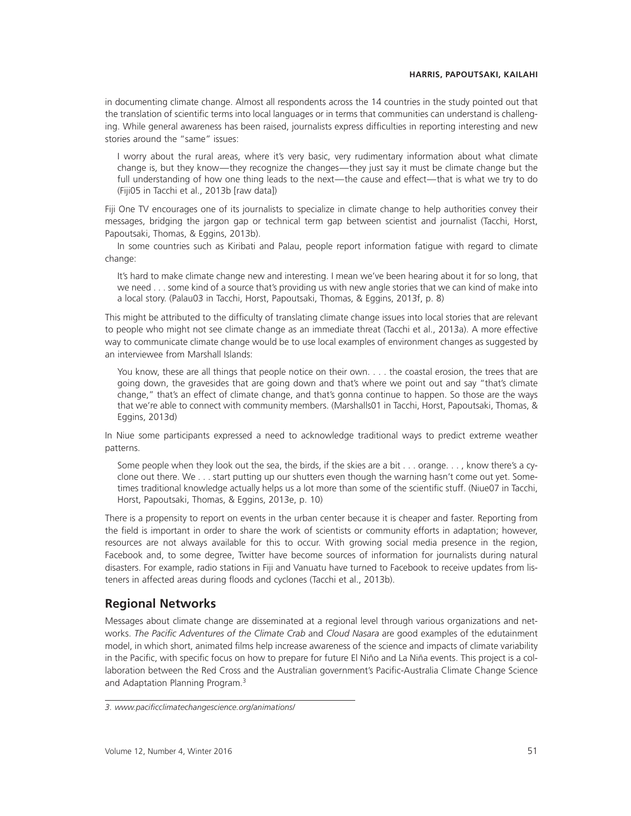in documenting climate change. Almost all respondents across the 14 countries in the study pointed out that the translation of scientific terms into local languages or in terms that communities can understand is challenging. While general awareness has been raised, journalists express difficulties in reporting interesting and new stories around the "same" issues:

I worry about the rural areas, where it's very basic, very rudimentary information about what climate change is, but they know—they recognize the changes—they just say it must be climate change but the full understanding of how one thing leads to the next—the cause and effect—that is what we try to do (Fiji05 in Tacchi et al., 2013b [raw data])

Fiji One TV encourages one of its journalists to specialize in climate change to help authorities convey their messages, bridging the jargon gap or technical term gap between scientist and journalist (Tacchi, Horst, Papoutsaki, Thomas, & Eggins, 2013b).

In some countries such as Kiribati and Palau, people report information fatigue with regard to climate change:

It's hard to make climate change new and interesting. I mean we've been hearing about it for so long, that we need . . . some kind of a source that's providing us with new angle stories that we can kind of make into a local story. (Palau03 in Tacchi, Horst, Papoutsaki, Thomas, & Eggins, 2013f, p. 8)

This might be attributed to the difficulty of translating climate change issues into local stories that are relevant to people who might not see climate change as an immediate threat (Tacchi et al., 2013a). A more effective way to communicate climate change would be to use local examples of environment changes as suggested by an interviewee from Marshall Islands:

You know, these are all things that people notice on their own. . . . the coastal erosion, the trees that are going down, the gravesides that are going down and that's where we point out and say "that's climate change," that's an effect of climate change, and that's gonna continue to happen. So those are the ways that we're able to connect with community members. (Marshalls01 in Tacchi, Horst, Papoutsaki, Thomas, & Eggins, 2013d)

In Niue some participants expressed a need to acknowledge traditional ways to predict extreme weather patterns.

Some people when they look out the sea, the birds, if the skies are a bit... orange. . . , know there's a cyclone out there. We... start putting up our shutters even though the warning hasn't come out yet. Sometimes traditional knowledge actually helps us a lot more than some of the scientific stuff. (Niue07 in Tacchi, Horst, Papoutsaki, Thomas, & Eggins, 2013e, p. 10)

There is a propensity to report on events in the urban center because it is cheaper and faster. Reporting from the field is important in order to share the work of scientists or community efforts in adaptation; however, resources are not always available for this to occur. With growing social media presence in the region, Facebook and, to some degree, Twitter have become sources of information for journalists during natural disasters. For example, radio stations in Fiji and Vanuatu have turned to Facebook to receive updates from listeners in affected areas during floods and cyclones (Tacchi et al., 2013b).

# **Regional Networks**

Messages about climate change are disseminated at a regional level through various organizations and networks. *The Pacific Adventures of the Climate Crab* and *Cloud Nasara* are good examples of the edutainment model, in which short, animated films help increase awareness of the science and impacts of climate variability in the Pacific, with specific focus on how to prepare for future El Niño and La Niña events. This project is a collaboration between the Red Cross and the Australian government's Pacific-Australia Climate Change Science and Adaptation Planning Program.3

*<sup>3.</sup> www.paciªcclimatechangescience.org/animations/*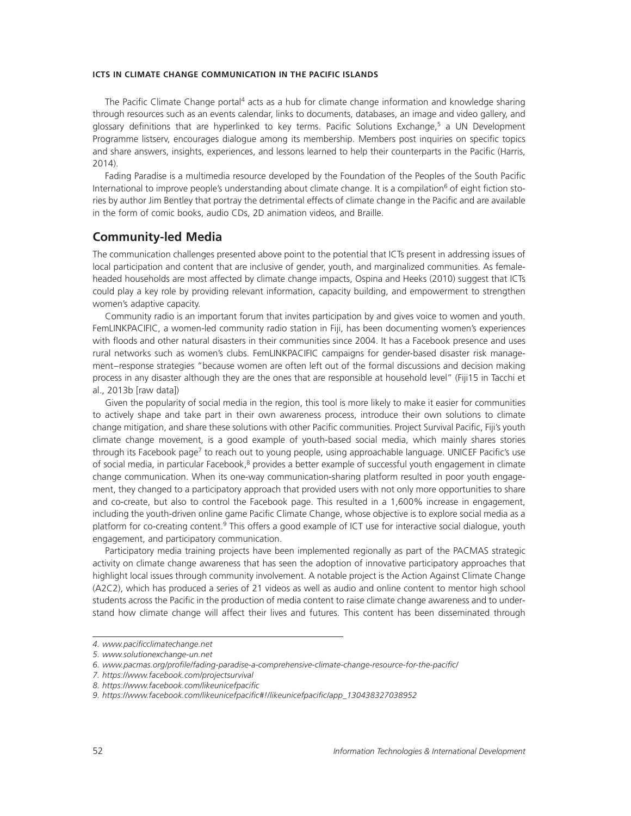The Pacific Climate Change portal<sup>4</sup> acts as a hub for climate change information and knowledge sharing through resources such as an events calendar, links to documents, databases, an image and video gallery, and glossary definitions that are hyperlinked to key terms. Pacific Solutions Exchange,<sup>5</sup> a UN Development Programme listserv, encourages dialogue among its membership. Members post inquiries on specific topics and share answers, insights, experiences, and lessons learned to help their counterparts in the Pacific (Harris, 2014).

Fading Paradise is a multimedia resource developed by the Foundation of the Peoples of the South Pacific International to improve people's understanding about climate change. It is a compilation<sup>6</sup> of eight fiction stories by author Jim Bentley that portray the detrimental effects of climate change in the Pacific and are available in the form of comic books, audio CDs, 2D animation videos, and Braille.

# **Community-led Media**

The communication challenges presented above point to the potential that ICTs present in addressing issues of local participation and content that are inclusive of gender, youth, and marginalized communities. As femaleheaded households are most affected by climate change impacts, Ospina and Heeks (2010) suggest that ICTs could play a key role by providing relevant information, capacity building, and empowerment to strengthen women's adaptive capacity.

Community radio is an important forum that invites participation by and gives voice to women and youth. FemLINKPACIFIC, a women-led community radio station in Fiji, has been documenting women's experiences with floods and other natural disasters in their communities since 2004. It has a Facebook presence and uses rural networks such as women's clubs. FemLINKPACIFIC campaigns for gender-based disaster risk management–response strategies "because women are often left out of the formal discussions and decision making process in any disaster although they are the ones that are responsible at household level" (Fiji15 in Tacchi et al., 2013b [raw data])

Given the popularity of social media in the region, this tool is more likely to make it easier for communities to actively shape and take part in their own awareness process, introduce their own solutions to climate change mitigation, and share these solutions with other Pacific communities. Project Survival Pacific, Fiji's youth climate change movement, is a good example of youth-based social media, which mainly shares stories through its Facebook page<sup>7</sup> to reach out to young people, using approachable language. UNICEF Pacific's use of social media, in particular Facebook,<sup>8</sup> provides a better example of successful youth engagement in climate change communication. When its one-way communication-sharing platform resulted in poor youth engagement, they changed to a participatory approach that provided users with not only more opportunities to share and co-create, but also to control the Facebook page. This resulted in a 1,600% increase in engagement, including the youth-driven online game Pacific Climate Change, whose objective is to explore social media as a platform for co-creating content.9 This offers a good example of ICT use for interactive social dialogue, youth engagement, and participatory communication.

Participatory media training projects have been implemented regionally as part of the PACMAS strategic activity on climate change awareness that has seen the adoption of innovative participatory approaches that highlight local issues through community involvement. A notable project is the Action Against Climate Change (A2C2), which has produced a series of 21 videos as well as audio and online content to mentor high school students across the Pacific in the production of media content to raise climate change awareness and to understand how climate change will affect their lives and futures. This content has been disseminated through

*<sup>4.</sup> www.paciªcclimatechange.net*

*<sup>5.</sup> www.solutionexchange-un.net*

<sup>6.</sup> www.pacmas.org/profile/fading-paradise-a-comprehensive-climate-change-resource-for-the-pacific/

*<sup>7.</sup> https://www.facebook.com/projectsurvival*

<sup>8.</sup> https://www.facebook.com/likeunicefpacific

<sup>9.</sup> https://www.facebook.com/likeunicefpacific#!/likeunicefpacific/app\_130438327038952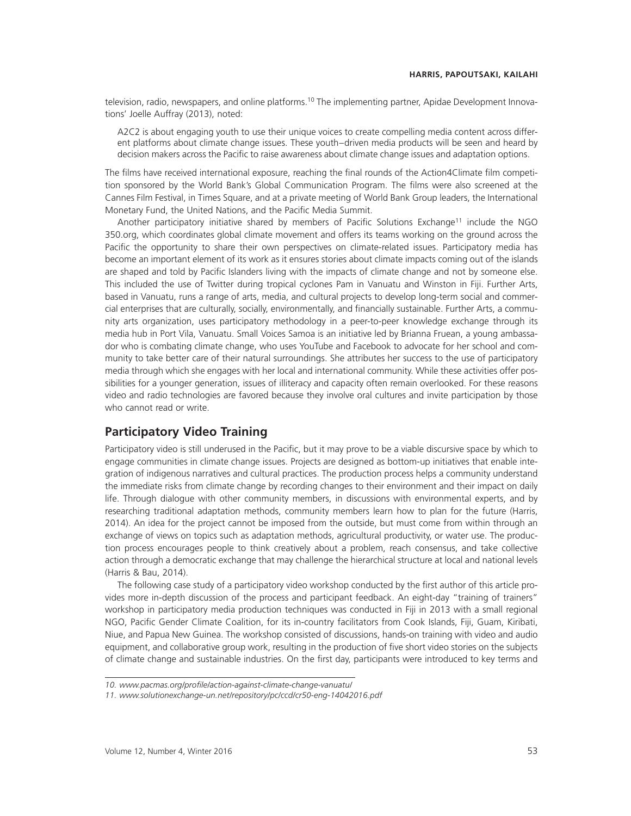television, radio, newspapers, and online platforms.<sup>10</sup> The implementing partner, Apidae Development Innovations' Joelle Auffray (2013), noted:

A2C2 is about engaging youth to use their unique voices to create compelling media content across different platforms about climate change issues. These youth–driven media products will be seen and heard by decision makers across the Pacific to raise awareness about climate change issues and adaptation options.

The films have received international exposure, reaching the final rounds of the Action4Climate film competition sponsored by the World Bank's Global Communication Program. The films were also screened at the Cannes Film Festival, in Times Square, and at a private meeting of World Bank Group leaders, the International Monetary Fund, the United Nations, and the Pacific Media Summit.

Another participatory initiative shared by members of Pacific Solutions Exchange<sup>11</sup> include the NGO 350.org, which coordinates global climate movement and offers its teams working on the ground across the Pacific the opportunity to share their own perspectives on climate-related issues. Participatory media has become an important element of its work as it ensures stories about climate impacts coming out of the islands are shaped and told by Pacific Islanders living with the impacts of climate change and not by someone else. This included the use of Twitter during tropical cyclones Pam in Vanuatu and Winston in Fiji. Further Arts, based in Vanuatu, runs a range of arts, media, and cultural projects to develop long-term social and commercial enterprises that are culturally, socially, environmentally, and financially sustainable. Further Arts, a community arts organization, uses participatory methodology in a peer-to-peer knowledge exchange through its media hub in Port Vila, Vanuatu. Small Voices Samoa is an initiative led by Brianna Fruean, a young ambassador who is combating climate change, who uses YouTube and Facebook to advocate for her school and community to take better care of their natural surroundings. She attributes her success to the use of participatory media through which she engages with her local and international community. While these activities offer possibilities for a younger generation, issues of illiteracy and capacity often remain overlooked. For these reasons video and radio technologies are favored because they involve oral cultures and invite participation by those who cannot read or write.

# **Participatory Video Training**

Participatory video is still underused in the Pacific, but it may prove to be a viable discursive space by which to engage communities in climate change issues. Projects are designed as bottom-up initiatives that enable integration of indigenous narratives and cultural practices. The production process helps a community understand the immediate risks from climate change by recording changes to their environment and their impact on daily life. Through dialogue with other community members, in discussions with environmental experts, and by researching traditional adaptation methods, community members learn how to plan for the future (Harris, 2014). An idea for the project cannot be imposed from the outside, but must come from within through an exchange of views on topics such as adaptation methods, agricultural productivity, or water use. The production process encourages people to think creatively about a problem, reach consensus, and take collective action through a democratic exchange that may challenge the hierarchical structure at local and national levels (Harris & Bau, 2014).

The following case study of a participatory video workshop conducted by the first author of this article provides more in-depth discussion of the process and participant feedback. An eight-day "training of trainers" workshop in participatory media production techniques was conducted in Fiji in 2013 with a small regional NGO, Pacific Gender Climate Coalition, for its in-country facilitators from Cook Islands, Fiji, Guam, Kiribati, Niue, and Papua New Guinea. The workshop consisted of discussions, hands-on training with video and audio equipment, and collaborative group work, resulting in the production of five short video stories on the subjects of climate change and sustainable industries. On the first day, participants were introduced to key terms and

*<sup>10.</sup> www.pacmas.org/proªle/action-against-climate-change-vanuatu/*

*<sup>11.</sup> www.solutionexchange-un.net/repository/pc/ccd/cr50-eng-14042016.pdf*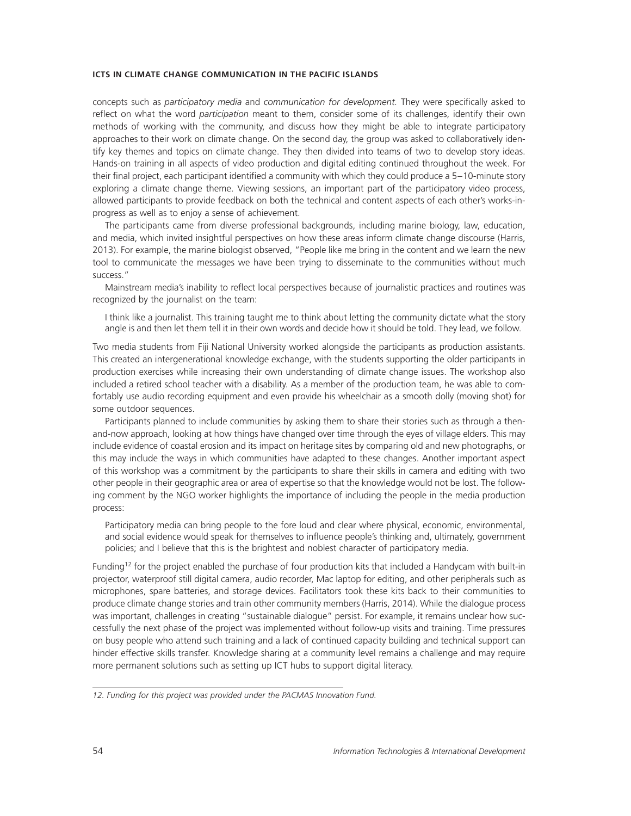concepts such as *participatory media* and *communication for development*. They were specifically asked to reflect on what the word *participation* meant to them, consider some of its challenges, identify their own methods of working with the community, and discuss how they might be able to integrate participatory approaches to their work on climate change. On the second day, the group was asked to collaboratively identify key themes and topics on climate change. They then divided into teams of two to develop story ideas. Hands-on training in all aspects of video production and digital editing continued throughout the week. For their final project, each participant identified a community with which they could produce a 5–10-minute story exploring a climate change theme. Viewing sessions, an important part of the participatory video process, allowed participants to provide feedback on both the technical and content aspects of each other's works-inprogress as well as to enjoy a sense of achievement.

The participants came from diverse professional backgrounds, including marine biology, law, education, and media, which invited insightful perspectives on how these areas inform climate change discourse (Harris, 2013). For example, the marine biologist observed, "People like me bring in the content and we learn the new tool to communicate the messages we have been trying to disseminate to the communities without much success."

Mainstream media's inability to reflect local perspectives because of journalistic practices and routines was recognized by the journalist on the team:

I think like a journalist. This training taught me to think about letting the community dictate what the story angle is and then let them tell it in their own words and decide how it should be told. They lead, we follow.

Two media students from Fiji National University worked alongside the participants as production assistants. This created an intergenerational knowledge exchange, with the students supporting the older participants in production exercises while increasing their own understanding of climate change issues. The workshop also included a retired school teacher with a disability. As a member of the production team, he was able to comfortably use audio recording equipment and even provide his wheelchair as a smooth dolly (moving shot) for some outdoor sequences.

Participants planned to include communities by asking them to share their stories such as through a thenand-now approach, looking at how things have changed over time through the eyes of village elders. This may include evidence of coastal erosion and its impact on heritage sites by comparing old and new photographs, or this may include the ways in which communities have adapted to these changes. Another important aspect of this workshop was a commitment by the participants to share their skills in camera and editing with two other people in their geographic area or area of expertise so that the knowledge would not be lost. The following comment by the NGO worker highlights the importance of including the people in the media production process:

Participatory media can bring people to the fore loud and clear where physical, economic, environmental, and social evidence would speak for themselves to influence people's thinking and, ultimately, government policies; and I believe that this is the brightest and noblest character of participatory media.

Funding<sup>12</sup> for the project enabled the purchase of four production kits that included a Handycam with built-in projector, waterproof still digital camera, audio recorder, Mac laptop for editing, and other peripherals such as microphones, spare batteries, and storage devices. Facilitators took these kits back to their communities to produce climate change stories and train other community members (Harris, 2014). While the dialogue process was important, challenges in creating "sustainable dialogue" persist. For example, it remains unclear how successfully the next phase of the project was implemented without follow-up visits and training. Time pressures on busy people who attend such training and a lack of continued capacity building and technical support can hinder effective skills transfer. Knowledge sharing at a community level remains a challenge and may require more permanent solutions such as setting up ICT hubs to support digital literacy.

*<sup>12.</sup> Funding for this project was provided under the PACMAS Innovation Fund.*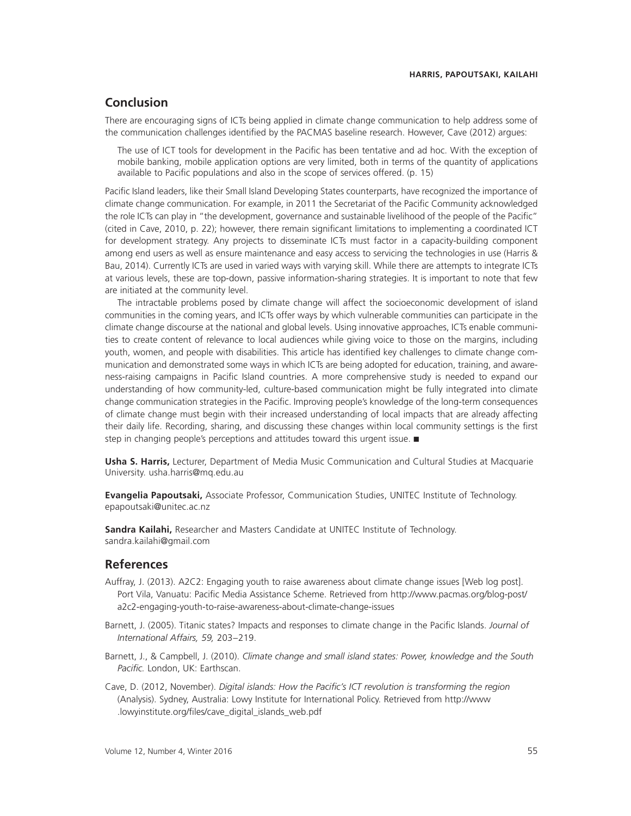# **Conclusion**

There are encouraging signs of ICTs being applied in climate change communication to help address some of the communication challenges identified by the PACMAS baseline research. However, Cave (2012) argues:

The use of ICT tools for development in the Pacific has been tentative and ad hoc. With the exception of mobile banking, mobile application options are very limited, both in terms of the quantity of applications available to Pacific populations and also in the scope of services offered. (p. 15)

Pacific Island leaders, like their Small Island Developing States counterparts, have recognized the importance of climate change communication. For example, in 2011 the Secretariat of the Pacific Community acknowledged the role ICTs can play in "the development, governance and sustainable livelihood of the people of the Pacific" (cited in Cave, 2010, p. 22); however, there remain significant limitations to implementing a coordinated ICT for development strategy. Any projects to disseminate ICTs must factor in a capacity-building component among end users as well as ensure maintenance and easy access to servicing the technologies in use (Harris & Bau, 2014). Currently ICTs are used in varied ways with varying skill. While there are attempts to integrate ICTs at various levels, these are top-down, passive information-sharing strategies. It is important to note that few are initiated at the community level.

The intractable problems posed by climate change will affect the socioeconomic development of island communities in the coming years, and ICTs offer ways by which vulnerable communities can participate in the climate change discourse at the national and global levels. Using innovative approaches, ICTs enable communities to create content of relevance to local audiences while giving voice to those on the margins, including youth, women, and people with disabilities. This article has identified key challenges to climate change communication and demonstrated some ways in which ICTs are being adopted for education, training, and awareness-raising campaigns in Pacific Island countries. A more comprehensive study is needed to expand our understanding of how community-led, culture-based communication might be fully integrated into climate change communication strategies in the Pacific. Improving people's knowledge of the long-term consequences of climate change must begin with their increased understanding of local impacts that are already affecting their daily life. Recording, sharing, and discussing these changes within local community settings is the first step in changing people's perceptions and attitudes toward this urgent issue. ■

**Usha S. Harris,** Lecturer, Department of Media Music Communication and Cultural Studies at Macquarie University. usha.harris@mq.edu.au

**Evangelia Papoutsaki,** Associate Professor, Communication Studies, UNITEC Institute of Technology. epapoutsaki@unitec.ac.nz

**Sandra Kailahi,** Researcher and Masters Candidate at UNITEC Institute of Technology. sandra.kailahi@gmail.com

### **References**

- Auffray, J. (2013). A2C2: Engaging youth to raise awareness about climate change issues [Web log post]. Port Vila, Vanuatu: Pacific Media Assistance Scheme. Retrieved from http://www.pacmas.org/blog-post/ a2c2-engaging-youth-to-raise-awareness-about-climate-change-issues
- Barnett, J. (2005). Titanic states? Impacts and responses to climate change in the Pacific Islands. *Journal of International Affairs, 59,* 203–219.
- Barnett, J., & Campbell, J. (2010). *Climate change and small island states: Power, knowledge and the South* Pacific. London, UK: Earthscan.
- Cave, D. (2012, November). *Digital islands: How the Pacific's ICT revolution is transforming the region* (Analysis). Sydney, Australia: Lowy Institute for International Policy. Retrieved from http://www .lowyinstitute.org/files/cave\_digital\_islands\_web.pdf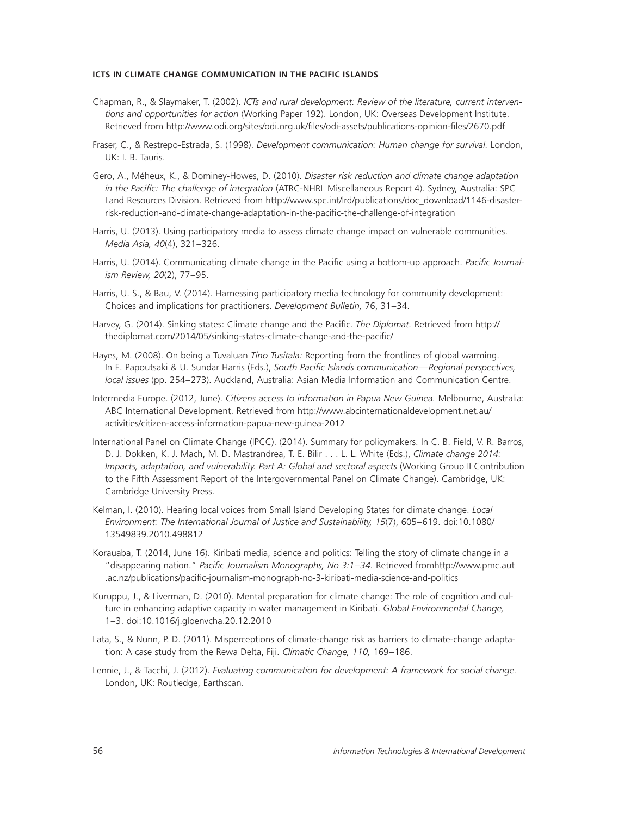- Chapman, R., & Slaymaker, T. (2002). *ICTs and rural development: Review of the literature, current interventions and opportunities for action* (Working Paper 192). London, UK: Overseas Development Institute. Retrieved from http://www.odi.org/sites/odi.org.uk/files/odi-assets/publications-opinion-files/2670.pdf
- Fraser, C., & Restrepo-Estrada, S. (1998). *Development communication: Human change for survival.* London, UK: I. B. Tauris.
- Gero, A., Méheux, K., & Dominey-Howes, D. (2010). *Disaster risk reduction and climate change adaptation in the Pacific: The challenge of integration* (ATRC-NHRL Miscellaneous Report 4). Sydney, Australia: SPC Land Resources Division. Retrieved from http://www.spc.int/lrd/publications/doc\_download/1146-disasterrisk-reduction-and-climate-change-adaptation-in-the-pacific-the-challenge-of-integration
- Harris, U. (2013). Using participatory media to assess climate change impact on vulnerable communities. *Media Asia, 40*(4), 321–326.
- Harris, U. (2014). Communicating climate change in the Pacific using a bottom-up approach. *Pacific Journalism Review, 20*(2), 77–95.
- Harris, U. S., & Bau, V. (2014). Harnessing participatory media technology for community development: Choices and implications for practitioners. *Development Bulletin,* 76, 31–34.
- Harvey, G. (2014). Sinking states: Climate change and the Pacific. *The Diplomat*. Retrieved from http:// thediplomat.com/2014/05/sinking-states-climate-change-and-the-pacific/
- Hayes, M. (2008). On being a Tuvaluan *Tino Tusitala:* Reporting from the frontlines of global warming. In E. Papoutsaki & U. Sundar Harris (Eds.), *South Pacific Islands communication—Regional perspectives, local issues* (pp. 254–273). Auckland, Australia: Asian Media Information and Communication Centre.
- Intermedia Europe. (2012, June). *Citizens access to information in Papua New Guinea.* Melbourne, Australia: ABC International Development. Retrieved from http://www.abcinternationaldevelopment.net.au/ activities/citizen-access-information-papua-new-guinea-2012
- International Panel on Climate Change (IPCC). (2014). Summary for policymakers. In C. B. Field, V. R. Barros, D. J. Dokken, K. J. Mach, M. D. Mastrandrea, T. E. Bilir . . . L. L. White (Eds.), *Climate change 2014: Impacts, adaptation, and vulnerability. Part A: Global and sectoral aspects* (Working Group II Contribution to the Fifth Assessment Report of the Intergovernmental Panel on Climate Change). Cambridge, UK: Cambridge University Press.
- Kelman, I. (2010). Hearing local voices from Small Island Developing States for climate change. *Local Environment: The International Journal of Justice and Sustainability, 15*(7), 605–619. doi:10.1080/ 13549839.2010.498812
- Korauaba, T. (2014, June 16). Kiribati media, science and politics: Telling the story of climate change in a "disappearing nation." *Pacific Journalism Monographs, No 3:1-34*. Retrieved fromhttp://www.pmc.aut .ac.nz/publications/pacific-journalism-monograph-no-3-kiribati-media-science-and-politics
- Kuruppu, J., & Liverman, D. (2010). Mental preparation for climate change: The role of cognition and culture in enhancing adaptive capacity in water management in Kiribati. *Global Environmental Change,* 1–3. doi:10.1016/j.gloenvcha.20.12.2010
- Lata, S., & Nunn, P. D. (2011). Misperceptions of climate-change risk as barriers to climate-change adaptation: A case study from the Rewa Delta, Fiji. *Climatic Change, 110,* 169–186.
- Lennie, J., & Tacchi, J. (2012). *Evaluating communication for development: A framework for social change.* London, UK: Routledge, Earthscan.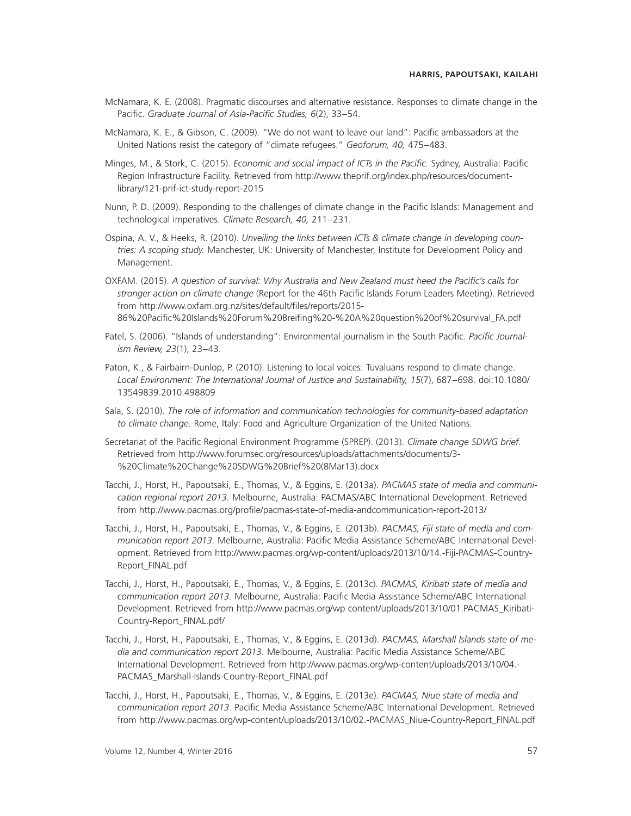- McNamara, K. E. (2008). Pragmatic discourses and alternative resistance. Responses to climate change in the Pacific. *Graduate Journal of Asia-Pacific Studies, 6*(2), 33-54.
- McNamara, K. E., & Gibson, C. (2009). "We do not want to leave our land": Pacific ambassadors at the United Nations resist the category of "climate refugees." *Geoforum, 40,* 475–483.
- Minges, M., & Stork, C. (2015). *Economic and social impact of ICTs in the Pacific*. Sydney, Australia: Pacific Region Infrastructure Facility. Retrieved from http://www.theprif.org/index.php/resources/documentlibrary/121-prif-ict-study-report-2015
- Nunn, P. D. (2009). Responding to the challenges of climate change in the Pacific Islands: Management and technological imperatives. *Climate Research, 40,* 211–231.
- Ospina, A. V., & Heeks, R. (2010). *Unveiling the links between ICTs & climate change in developing countries: A scoping study.* Manchester, UK: University of Manchester, Institute for Development Policy and Management.
- OXFAM. (2015). A question of survival: Why Australia and New Zealand must heed the Pacific's calls for stronger action on climate change (Report for the 46th Pacific Islands Forum Leaders Meeting). Retrieved from http://www.oxfam.org.nz/sites/default/files/reports/2015-86%20Pacific%20Islands%20Forum%20Breifing%20-%20A%20question%20of%20survival\_FA.pdf
- Patel, S. (2006). "Islands of understanding": Environmental journalism in the South Pacific. Pacific Journal*ism Review, 23*(1), 23–43.
- Paton, K., & Fairbairn-Dunlop, P. (2010). Listening to local voices: Tuvaluans respond to climate change. *Local Environment: The International Journal of Justice and Sustainability, 15*(7), 687–698. doi:10.1080/ 13549839.2010.498809
- Sala, S. (2010). *The role of information and communication technologies for community-based adaptation to climate change.* Rome, Italy: Food and Agriculture Organization of the United Nations.
- Secretariat of the Pacific Regional Environment Programme (SPREP). (2013). Climate change SDWG brief. Retrieved from http://www.forumsec.org/resources/uploads/attachments/documents/3- %20Climate%20Change%20SDWG%20Brief%20(8Mar13).docx
- Tacchi, J., Horst, H., Papoutsaki, E., Thomas, V., & Eggins, E. (2013a). *PACMAS state of media and communication regional report 2013.* Melbourne, Australia: PACMAS/ABC International Development. Retrieved from http://www.pacmas.org/profile/pacmas-state-of-media-andcommunication-report-2013/
- Tacchi, J., Horst, H., Papoutsaki, E., Thomas, V., & Eggins, E. (2013b). *PACMAS, Fiji state of media and communication report 2013.* Melbourne, Australia: Pacific Media Assistance Scheme/ABC International Development. Retrieved from http://www.pacmas.org/wp-content/uploads/2013/10/14.-Fiji-PACMAS-Country-Report\_FINAL.pdf
- Tacchi, J., Horst, H., Papoutsaki, E., Thomas, V., & Eggins, E. (2013c). *PACMAS, Kiribati state of media and communication report 2013.* Melbourne, Australia: Pacific Media Assistance Scheme/ABC International Development. Retrieved from http://www.pacmas.org/wp content/uploads/2013/10/01.PACMAS\_Kiribati-Country-Report\_FINAL.pdf/
- Tacchi, J., Horst, H., Papoutsaki, E., Thomas, V., & Eggins, E. (2013d). *PACMAS, Marshall Islands state of me*dia and communication report 2013. Melbourne, Australia: Pacific Media Assistance Scheme/ABC International Development. Retrieved from http://www.pacmas.org/wp-content/uploads/2013/10/04.- PACMAS\_Marshall-Islands-Country-Report\_FINAL.pdf
- Tacchi, J., Horst, H., Papoutsaki, E., Thomas, V., & Eggins, E. (2013e). *PACMAS, Niue state of media and* communication report 2013. Pacific Media Assistance Scheme/ABC International Development. Retrieved from http://www.pacmas.org/wp-content/uploads/2013/10/02.-PACMAS\_Niue-Country-Report\_FINAL.pdf